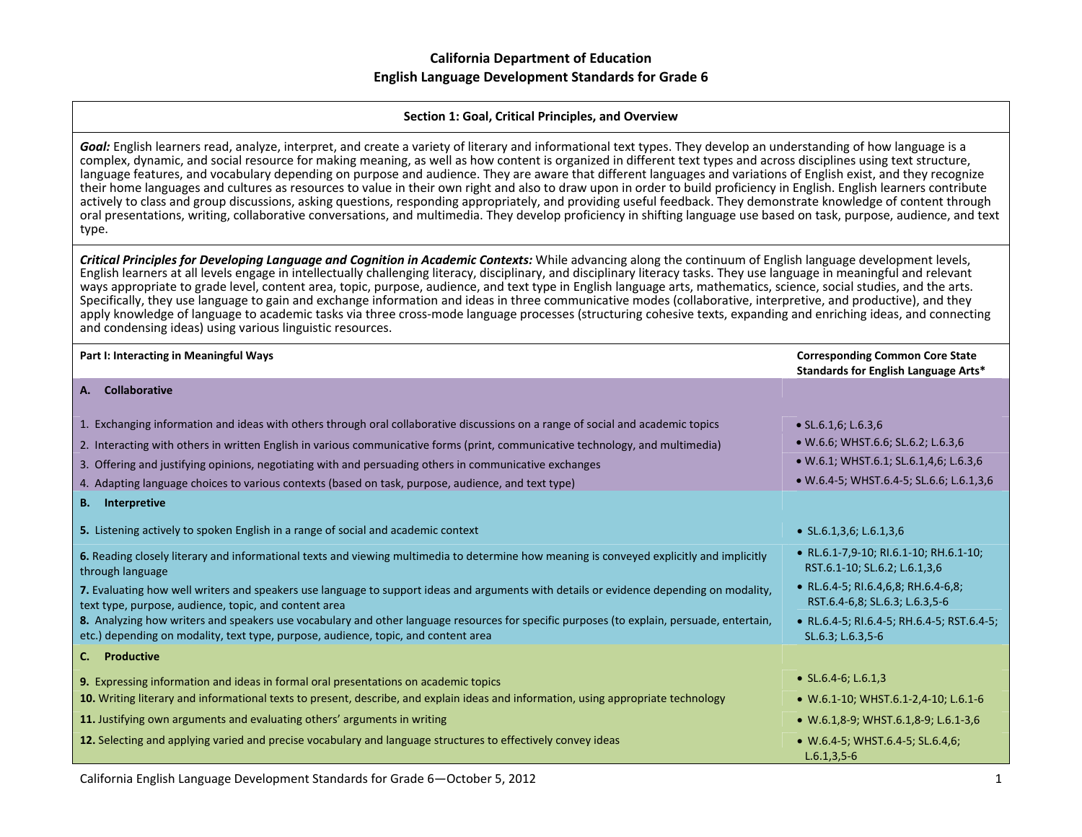#### **Section 1: Goal, Critical Principles, and Overview**

*Goal:* English learners read, analyze, interpret, and create <sup>a</sup> variety of literary and informational text types. They develop an understanding of how language is <sup>a</sup> complex, dynamic, and social resource for making meaning, as well as how content is organized in different text types and across disciplines using text structure, language features, and vocabulary depending on purpose and audience. They are aware that different languages and variations of English exist, and they recognize their home languages and cultures as resources to value in their own right and also to draw upon in order to build proficiency in English. English learners contribute actively to class and group discussions, asking questions, responding appropriately, and providing useful feedback. They demonstrate knowledge of content through oral presentations, writing, collaborative conversations, and multimedia. They develop proficiency in shifting language use based on task, purpose, audience, and text type.

Critical Principles for Developing Language and Cognition in Academic Contexts: While advancing along the continuum of English language development levels, English learners at all levels engage in intellectually challenging literacy, disciplinary, and disciplinary literacy tasks. They use language in meaningful and relevant ways appropriate to grade level, content area, topic, purpose, audience, and text type in English language arts, mathematics, science, social studies, and the arts. Specifically, they use language to gain and exchange information and ideas in three communicative modes (collaborative, interpretive, and productive), and they apply knowledge of language to academic tasks via three cross-mode language processes (structuring cohesive texts, expanding and enriching ideas, and connecting and condensing ideas) using various linguistic resources.

| Part I: Interacting in Meaningful Ways                                                                                                                                                                                                                                                                                                                                                                                                                                            | <b>Corresponding Common Core State</b><br>Standards for English Language Arts*                                                                          |  |
|-----------------------------------------------------------------------------------------------------------------------------------------------------------------------------------------------------------------------------------------------------------------------------------------------------------------------------------------------------------------------------------------------------------------------------------------------------------------------------------|---------------------------------------------------------------------------------------------------------------------------------------------------------|--|
| <b>Collaborative</b><br>А.                                                                                                                                                                                                                                                                                                                                                                                                                                                        |                                                                                                                                                         |  |
| 1. Exchanging information and ideas with others through oral collaborative discussions on a range of social and academic topics<br>2. Interacting with others in written English in various communicative forms (print, communicative technology, and multimedia)<br>3. Offering and justifying opinions, negotiating with and persuading others in communicative exchanges<br>4. Adapting language choices to various contexts (based on task, purpose, audience, and text type) | $\bullet$ SL.6.1,6; L.6.3,6<br>• W.6.6; WHST.6.6; SL.6.2; L.6.3,6<br>• W.6.1; WHST.6.1; SL.6.1,4,6; L.6.3,6<br>• W.6.4-5; WHST.6.4-5; SL.6.6; L.6.1,3,6 |  |
| <b>B.</b> Interpretive                                                                                                                                                                                                                                                                                                                                                                                                                                                            |                                                                                                                                                         |  |
| <b>5.</b> Listening actively to spoken English in a range of social and academic context                                                                                                                                                                                                                                                                                                                                                                                          | • $SL.6.1,3.6$ ; $L.6.1,3.6$                                                                                                                            |  |
| 6. Reading closely literary and informational texts and viewing multimedia to determine how meaning is conveyed explicitly and implicitly<br>through language                                                                                                                                                                                                                                                                                                                     | • RL.6.1-7,9-10; RI.6.1-10; RH.6.1-10;<br>RST.6.1-10; SL.6.2; L.6.1,3,6                                                                                 |  |
| 7. Evaluating how well writers and speakers use language to support ideas and arguments with details or evidence depending on modality,<br>text type, purpose, audience, topic, and content area                                                                                                                                                                                                                                                                                  | • RL.6.4-5; RI.6.4,6,8; RH.6.4-6,8;<br>RST.6.4-6,8; SL.6.3; L.6.3,5-6                                                                                   |  |
| 8. Analyzing how writers and speakers use vocabulary and other language resources for specific purposes (to explain, persuade, entertain,<br>etc.) depending on modality, text type, purpose, audience, topic, and content area                                                                                                                                                                                                                                                   | • RL.6.4-5; RI.6.4-5; RH.6.4-5; RST.6.4-5;<br>SL.6.3; L.6.3,5-6                                                                                         |  |
| C. Productive                                                                                                                                                                                                                                                                                                                                                                                                                                                                     |                                                                                                                                                         |  |
| <b>9.</b> Expressing information and ideas in formal oral presentations on academic topics                                                                                                                                                                                                                                                                                                                                                                                        | • $SL.6.4-6$ ; $L.6.1,3$                                                                                                                                |  |
| 10. Writing literary and informational texts to present, describe, and explain ideas and information, using appropriate technology                                                                                                                                                                                                                                                                                                                                                | • W.6.1-10; WHST.6.1-2,4-10; L.6.1-6                                                                                                                    |  |
| 11. Justifying own arguments and evaluating others' arguments in writing                                                                                                                                                                                                                                                                                                                                                                                                          | • W.6.1,8-9; WHST.6.1,8-9; L.6.1-3,6                                                                                                                    |  |
| 12. Selecting and applying varied and precise vocabulary and language structures to effectively convey ideas                                                                                                                                                                                                                                                                                                                                                                      | • W.6.4-5; WHST.6.4-5; SL.6.4,6;<br>$L.6.1, 3.5 - 6$                                                                                                    |  |

California English Language Development Standards for Grade 6—October 5, 2012 1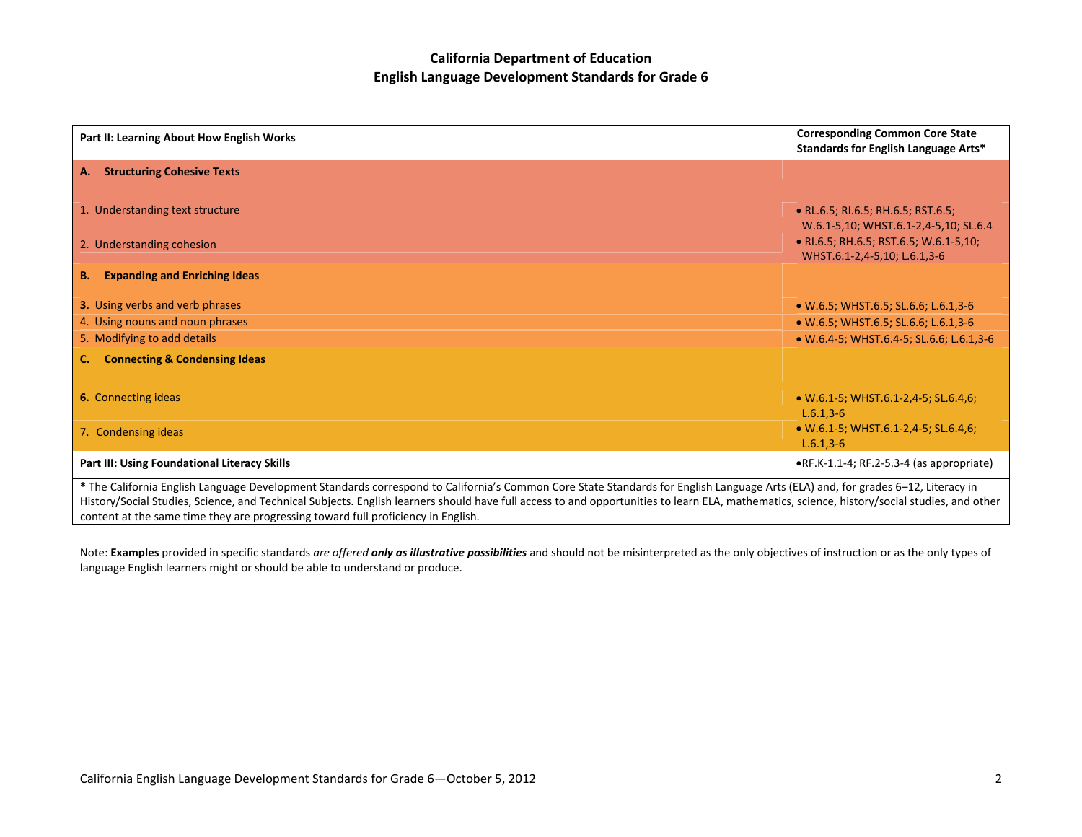| Part II: Learning About How English Works                                                                | <b>Corresponding Common Core State</b><br>Standards for English Language Arts*                                           |
|----------------------------------------------------------------------------------------------------------|--------------------------------------------------------------------------------------------------------------------------|
| <b>Structuring Cohesive Texts</b><br>А.                                                                  |                                                                                                                          |
| 1. Understanding text structure                                                                          | • RL.6.5; RI.6.5; RH.6.5; RST.6.5;<br>W.6.1-5,10; WHST.6.1-2,4-5,10; SL.6.4                                              |
| 2. Understanding cohesion                                                                                | • RI.6.5; RH.6.5; RST.6.5; W.6.1-5,10;<br>WHST.6.1-2,4-5,10; L.6.1,3-6                                                   |
| <b>Expanding and Enriching Ideas</b><br>В.                                                               |                                                                                                                          |
| <b>3.</b> Using verbs and verb phrases<br>4. Using nouns and noun phrases<br>5. Modifying to add details | • W.6.5; WHST.6.5; SL.6.6; L.6.1,3-6<br>• W.6.5; WHST.6.5; SL.6.6; L.6.1,3-6<br>• W.6.4-5; WHST.6.4-5; SL.6.6; L.6.1,3-6 |
| <b>Connecting &amp; Condensing Ideas</b>                                                                 |                                                                                                                          |
| <b>6.</b> Connecting ideas                                                                               | • W.6.1-5; WHST.6.1-2,4-5; SL.6.4,6;<br>$L.6.1, 3-6$                                                                     |
| 7. Condensing ideas                                                                                      | • W.6.1-5; WHST.6.1-2,4-5; SL.6.4,6;<br>$L.6.1, 3-6$                                                                     |
| Part III: Using Foundational Literacy Skills                                                             | $\bullet$ RF.K-1.1-4; RF.2-5.3-4 (as appropriate)                                                                        |

content at the same time they are progressing toward full proficiency in English.

Note: **Examples** provided in specific standards are offered **only as illustrative possibilities** and should not be misinterpreted as the only objectives of instruction or as the only types of language English learners might or should be able to understand or produce.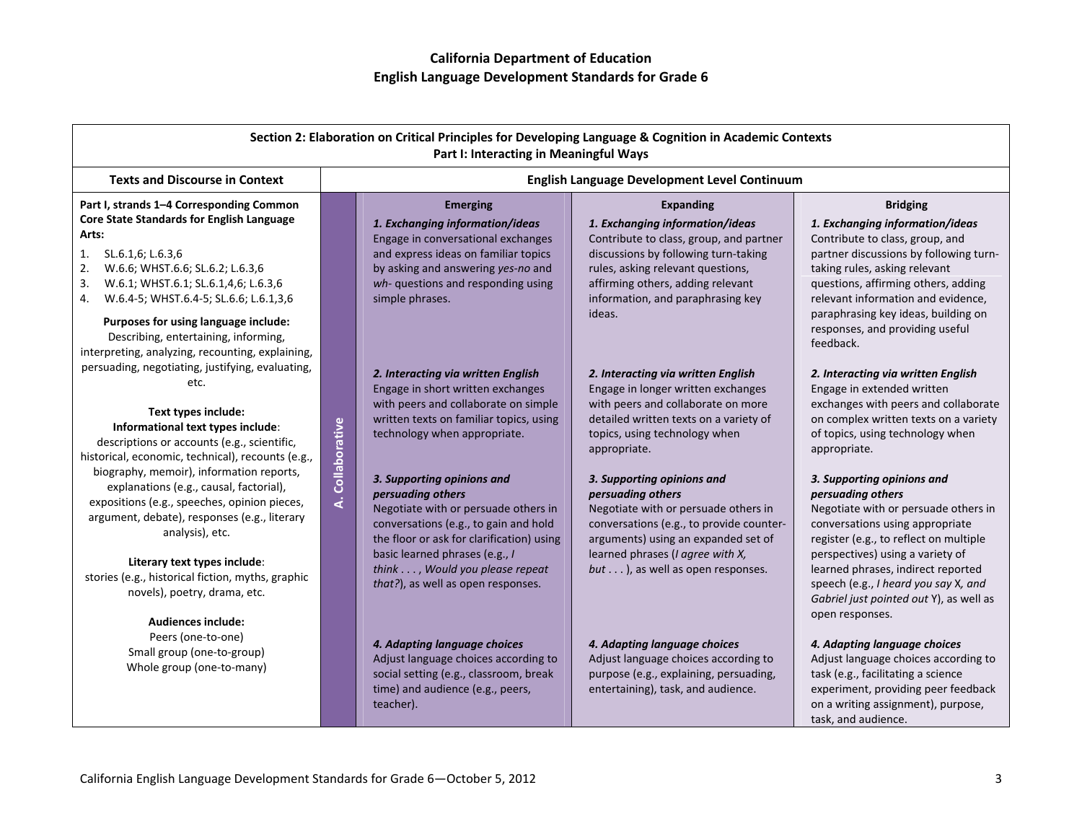|                                                                                                                                                                                                                                                                   |               | Part I: Interacting in Meaningful Ways                                                                                                                                                                                          | Section 2: Elaboration on Critical Principles for Developing Language & Cognition in Academic Contexts                                                                                                                                                |                                                                                                                                                                                                                                               |
|-------------------------------------------------------------------------------------------------------------------------------------------------------------------------------------------------------------------------------------------------------------------|---------------|---------------------------------------------------------------------------------------------------------------------------------------------------------------------------------------------------------------------------------|-------------------------------------------------------------------------------------------------------------------------------------------------------------------------------------------------------------------------------------------------------|-----------------------------------------------------------------------------------------------------------------------------------------------------------------------------------------------------------------------------------------------|
| <b>Texts and Discourse in Context</b>                                                                                                                                                                                                                             |               |                                                                                                                                                                                                                                 | English Language Development Level Continuum                                                                                                                                                                                                          |                                                                                                                                                                                                                                               |
| Part I, strands 1-4 Corresponding Common<br>Core State Standards for English Language<br>Arts:<br>SL.6.1,6; L.6.3,6<br>1.<br>W.6.6; WHST.6.6; SL.6.2; L.6.3,6<br>2.<br>W.6.1; WHST.6.1; SL.6.1,4,6; L.6.3,6<br>3.<br>W.6.4-5; WHST.6.4-5; SL.6.6; L.6.1,3,6<br>4. |               | <b>Emerging</b><br>1. Exchanging information/ideas<br>Engage in conversational exchanges<br>and express ideas on familiar topics<br>by asking and answering yes-no and<br>wh- questions and responding using<br>simple phrases. | <b>Expanding</b><br>1. Exchanging information/ideas<br>Contribute to class, group, and partner<br>discussions by following turn-taking<br>rules, asking relevant questions,<br>affirming others, adding relevant<br>information, and paraphrasing key | <b>Bridging</b><br>1. Exchanging information/ideas<br>Contribute to class, group, and<br>partner discussions by following turn-<br>taking rules, asking relevant<br>questions, affirming others, adding<br>relevant information and evidence, |
| Purposes for using language include:<br>Describing, entertaining, informing,<br>interpreting, analyzing, recounting, explaining,<br>persuading, negotiating, justifying, evaluating,                                                                              |               | 2. Interacting via written English                                                                                                                                                                                              | ideas.<br>2. Interacting via written English                                                                                                                                                                                                          | paraphrasing key ideas, building on<br>responses, and providing useful<br>feedback.<br>2. Interacting via written English                                                                                                                     |
| etc.<br>Text types include:<br>Informational text types include:<br>descriptions or accounts (e.g., scientific,<br>historical, economic, technical), recounts (e.g.,                                                                                              | Collaborative | Engage in short written exchanges<br>with peers and collaborate on simple<br>written texts on familiar topics, using<br>technology when appropriate.                                                                            | Engage in longer written exchanges<br>with peers and collaborate on more<br>detailed written texts on a variety of<br>topics, using technology when<br>appropriate.                                                                                   | Engage in extended written<br>exchanges with peers and collaborate<br>on complex written texts on a variety<br>of topics, using technology when<br>appropriate.                                                                               |
| biography, memoir), information reports,<br>explanations (e.g., causal, factorial),<br>expositions (e.g., speeches, opinion pieces,<br>argument, debate), responses (e.g., literary<br>analysis), etc.<br>Literary text types include:                            | خ             | 3. Supporting opinions and<br>persuading others<br>Negotiate with or persuade others in<br>conversations (e.g., to gain and hold<br>the floor or ask for clarification) using<br>basic learned phrases (e.g., I                 | 3. Supporting opinions and<br>persuading others<br>Negotiate with or persuade others in<br>conversations (e.g., to provide counter-<br>arguments) using an expanded set of<br>learned phrases (I agree with X,                                        | 3. Supporting opinions and<br>persuading others<br>Negotiate with or persuade others in<br>conversations using appropriate<br>register (e.g., to reflect on multiple<br>perspectives) using a variety of                                      |
| stories (e.g., historical fiction, myths, graphic<br>novels), poetry, drama, etc.<br>Audiences include:                                                                                                                                                           |               | think , Would you please repeat<br>that?), as well as open responses.                                                                                                                                                           | but ), as well as open responses.                                                                                                                                                                                                                     | learned phrases, indirect reported<br>speech (e.g., I heard you say X, and<br>Gabriel just pointed out Y), as well as<br>open responses.                                                                                                      |
| Peers (one-to-one)<br>Small group (one-to-group)<br>Whole group (one-to-many)                                                                                                                                                                                     |               | 4. Adapting language choices<br>Adjust language choices according to<br>social setting (e.g., classroom, break<br>time) and audience (e.g., peers,<br>teacher).                                                                 | 4. Adapting language choices<br>Adjust language choices according to<br>purpose (e.g., explaining, persuading,<br>entertaining), task, and audience.                                                                                                  | 4. Adapting language choices<br>Adjust language choices according to<br>task (e.g., facilitating a science<br>experiment, providing peer feedback<br>on a writing assignment), purpose,<br>task, and audience.                                |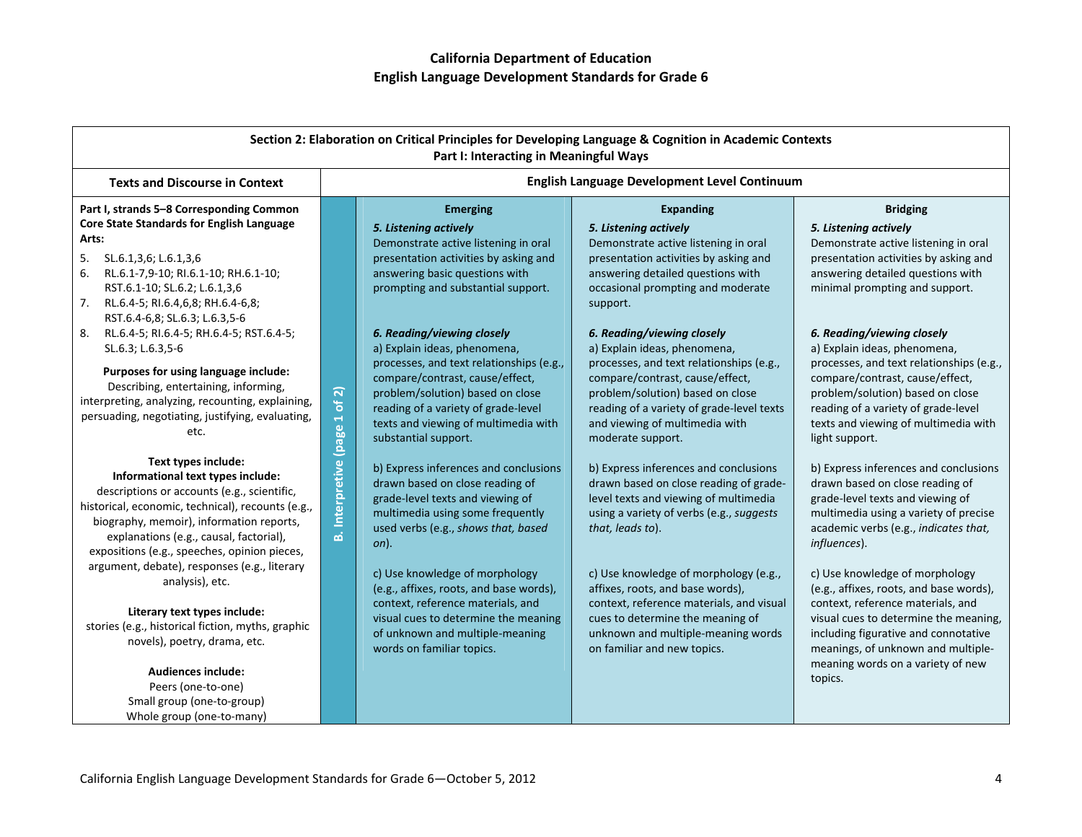| Section 2: Elaboration on Critical Principles for Developing Language & Cognition in Academic Contexts<br>Part I: Interacting in Meaningful Ways                                                                                                                                                    |                           |                                                                                                                                                                                                                                                                                      |                                                                                                                                                                                                                                                                                   |                                                                                                                                                                                                                                                                                |
|-----------------------------------------------------------------------------------------------------------------------------------------------------------------------------------------------------------------------------------------------------------------------------------------------------|---------------------------|--------------------------------------------------------------------------------------------------------------------------------------------------------------------------------------------------------------------------------------------------------------------------------------|-----------------------------------------------------------------------------------------------------------------------------------------------------------------------------------------------------------------------------------------------------------------------------------|--------------------------------------------------------------------------------------------------------------------------------------------------------------------------------------------------------------------------------------------------------------------------------|
| <b>Texts and Discourse in Context</b>                                                                                                                                                                                                                                                               |                           | English Language Development Level Continuum                                                                                                                                                                                                                                         |                                                                                                                                                                                                                                                                                   |                                                                                                                                                                                                                                                                                |
| Part I, strands 5-8 Corresponding Common<br>Core State Standards for English Language                                                                                                                                                                                                               |                           | <b>Emerging</b><br>5. Listening actively                                                                                                                                                                                                                                             | <b>Expanding</b><br>5. Listening actively                                                                                                                                                                                                                                         | <b>Bridging</b><br>5. Listening actively                                                                                                                                                                                                                                       |
| Arts:<br>5.<br>SL.6.1,3,6; L.6.1,3,6<br>RL.6.1-7,9-10; RI.6.1-10; RH.6.1-10;<br>6.<br>RST.6.1-10; SL.6.2; L.6.1,3,6<br>RL.6.4-5; RI.6.4,6,8; RH.6.4-6,8;<br>7.<br>RST.6.4-6,8; SL.6.3; L.6.3,5-6                                                                                                    |                           | Demonstrate active listening in oral<br>presentation activities by asking and<br>answering basic questions with<br>prompting and substantial support.                                                                                                                                | Demonstrate active listening in oral<br>presentation activities by asking and<br>answering detailed questions with<br>occasional prompting and moderate<br>support.                                                                                                               | Demonstrate active listening in oral<br>presentation activities by asking and<br>answering detailed questions with<br>minimal prompting and support.                                                                                                                           |
| 8.<br>RL.6.4-5; RI.6.4-5; RH.6.4-5; RST.6.4-5;<br>SL.6.3; L.6.3,5-6<br>Purposes for using language include:<br>Describing, entertaining, informing,<br>interpreting, analyzing, recounting, explaining,<br>persuading, negotiating, justifying, evaluating,<br>etc.                                 | of 2)                     | 6. Reading/viewing closely<br>a) Explain ideas, phenomena,<br>processes, and text relationships (e.g.,<br>compare/contrast, cause/effect,<br>problem/solution) based on close<br>reading of a variety of grade-level<br>texts and viewing of multimedia with<br>substantial support. | 6. Reading/viewing closely<br>a) Explain ideas, phenomena,<br>processes, and text relationships (e.g.,<br>compare/contrast, cause/effect,<br>problem/solution) based on close<br>reading of a variety of grade-level texts<br>and viewing of multimedia with<br>moderate support. | 6. Reading/viewing closely<br>a) Explain ideas, phenomena,<br>processes, and text relationships (e.g.,<br>compare/contrast, cause/effect,<br>problem/solution) based on close<br>reading of a variety of grade-level<br>texts and viewing of multimedia with<br>light support. |
| Text types include:<br>Informational text types include:<br>descriptions or accounts (e.g., scientific,<br>historical, economic, technical), recounts (e.g.,<br>biography, memoir), information reports,<br>explanations (e.g., causal, factorial),<br>expositions (e.g., speeches, opinion pieces, | Interpretive (page 1<br>ة | b) Express inferences and conclusions<br>drawn based on close reading of<br>grade-level texts and viewing of<br>multimedia using some frequently<br>used verbs (e.g., shows that, based<br>$on$ ).                                                                                   | b) Express inferences and conclusions<br>drawn based on close reading of grade-<br>level texts and viewing of multimedia<br>using a variety of verbs (e.g., suggests<br>that, leads to).                                                                                          | b) Express inferences and conclusions<br>drawn based on close reading of<br>grade-level texts and viewing of<br>multimedia using a variety of precise<br>academic verbs (e.g., indicates that,<br>influences).                                                                 |
| argument, debate), responses (e.g., literary<br>analysis), etc.<br>Literary text types include:<br>stories (e.g., historical fiction, myths, graphic<br>novels), poetry, drama, etc.                                                                                                                |                           | c) Use knowledge of morphology<br>(e.g., affixes, roots, and base words),<br>context, reference materials, and<br>visual cues to determine the meaning<br>of unknown and multiple-meaning<br>words on familiar topics.                                                               | c) Use knowledge of morphology (e.g.,<br>affixes, roots, and base words),<br>context, reference materials, and visual<br>cues to determine the meaning of<br>unknown and multiple-meaning words<br>on familiar and new topics.                                                    | c) Use knowledge of morphology<br>(e.g., affixes, roots, and base words),<br>context, reference materials, and<br>visual cues to determine the meaning,<br>including figurative and connotative<br>meanings, of unknown and multiple-                                          |
| <b>Audiences include:</b><br>Peers (one-to-one)<br>Small group (one-to-group)<br>Whole group (one-to-many)                                                                                                                                                                                          |                           |                                                                                                                                                                                                                                                                                      |                                                                                                                                                                                                                                                                                   | meaning words on a variety of new<br>topics.                                                                                                                                                                                                                                   |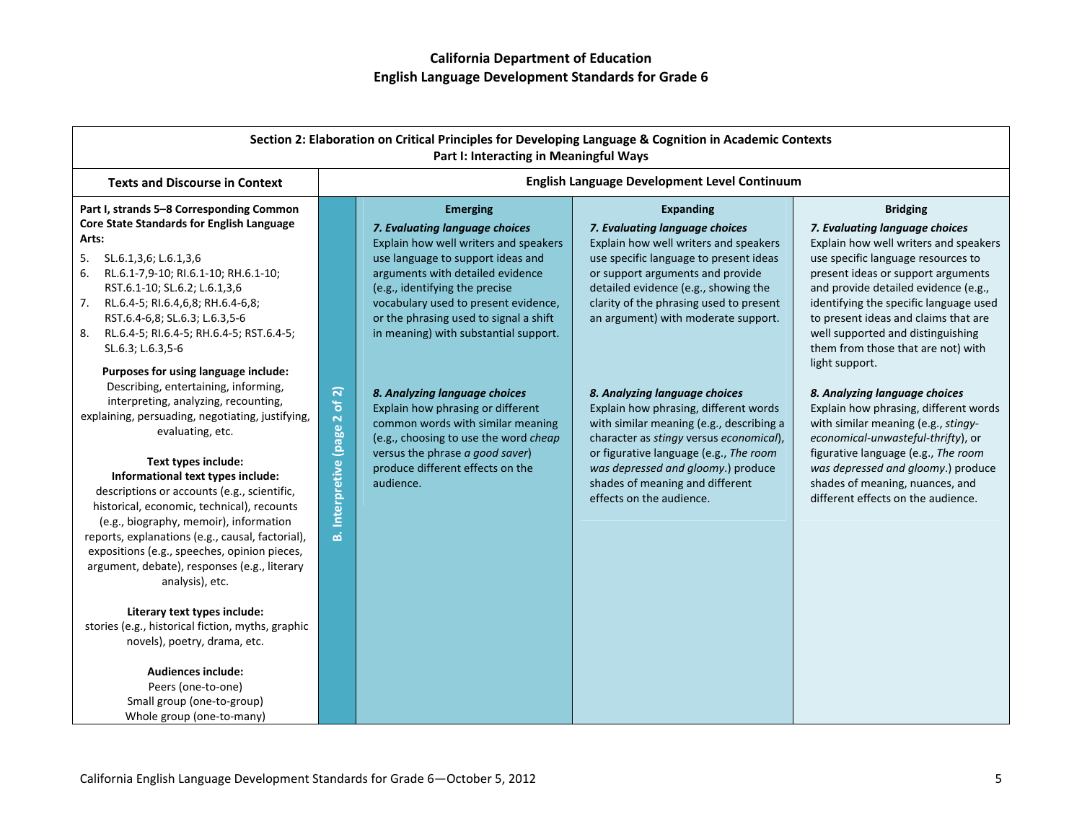| Section 2: Elaboration on Critical Principles for Developing Language & Cognition in Academic Contexts<br>Part I: Interacting in Meaningful Ways                                                                                                                                                                                                                                                                                                                                                                                                                       |                                    |                                                                                                                                                                                                                                                                                                                                  |                                                                                                                                                                                                                                                                                                              |                                                                                                                                                                                                                                                                                                                                                                             |
|------------------------------------------------------------------------------------------------------------------------------------------------------------------------------------------------------------------------------------------------------------------------------------------------------------------------------------------------------------------------------------------------------------------------------------------------------------------------------------------------------------------------------------------------------------------------|------------------------------------|----------------------------------------------------------------------------------------------------------------------------------------------------------------------------------------------------------------------------------------------------------------------------------------------------------------------------------|--------------------------------------------------------------------------------------------------------------------------------------------------------------------------------------------------------------------------------------------------------------------------------------------------------------|-----------------------------------------------------------------------------------------------------------------------------------------------------------------------------------------------------------------------------------------------------------------------------------------------------------------------------------------------------------------------------|
| <b>Texts and Discourse in Context</b>                                                                                                                                                                                                                                                                                                                                                                                                                                                                                                                                  |                                    | English Language Development Level Continuum                                                                                                                                                                                                                                                                                     |                                                                                                                                                                                                                                                                                                              |                                                                                                                                                                                                                                                                                                                                                                             |
| Part I, strands 5-8 Corresponding Common<br>Core State Standards for English Language<br>Arts:<br>5.<br>SL.6.1,3,6; L.6.1,3,6<br>RL.6.1-7,9-10; RI.6.1-10; RH.6.1-10;<br>6.<br>RST.6.1-10; SL.6.2; L.6.1,3,6<br>RL.6.4-5; RI.6.4,6,8; RH.6.4-6,8;<br>7.<br>RST.6.4-6,8; SL.6.3; L.6.3,5-6<br>RL.6.4-5; RI.6.4-5; RH.6.4-5; RST.6.4-5;<br>8.<br>SL.6.3; L.6.3,5-6                                                                                                                                                                                                       |                                    | <b>Emerging</b><br>7. Evaluating language choices<br>Explain how well writers and speakers<br>use language to support ideas and<br>arguments with detailed evidence<br>(e.g., identifying the precise<br>vocabulary used to present evidence,<br>or the phrasing used to signal a shift<br>in meaning) with substantial support. | <b>Expanding</b><br>7. Evaluating language choices<br>Explain how well writers and speakers<br>use specific language to present ideas<br>or support arguments and provide<br>detailed evidence (e.g., showing the<br>clarity of the phrasing used to present<br>an argument) with moderate support.          | <b>Bridging</b><br>7. Evaluating language choices<br>Explain how well writers and speakers<br>use specific language resources to<br>present ideas or support arguments<br>and provide detailed evidence (e.g.,<br>identifying the specific language used<br>to present ideas and claims that are<br>well supported and distinguishing<br>them from those that are not) with |
| Purposes for using language include:<br>Describing, entertaining, informing,<br>interpreting, analyzing, recounting,<br>explaining, persuading, negotiating, justifying,<br>evaluating, etc.<br>Text types include:<br>Informational text types include:<br>descriptions or accounts (e.g., scientific,<br>historical, economic, technical), recounts<br>(e.g., biography, memoir), information<br>reports, explanations (e.g., causal, factorial),<br>expositions (e.g., speeches, opinion pieces,<br>argument, debate), responses (e.g., literary<br>analysis), etc. | of2)<br>Interpretive (page 2<br>هأ | 8. Analyzing language choices<br>Explain how phrasing or different<br>common words with similar meaning<br>(e.g., choosing to use the word cheap<br>versus the phrase a good saver)<br>produce different effects on the<br>audience.                                                                                             | 8. Analyzing language choices<br>Explain how phrasing, different words<br>with similar meaning (e.g., describing a<br>character as stingy versus economical),<br>or figurative language (e.g., The room<br>was depressed and gloomy.) produce<br>shades of meaning and different<br>effects on the audience. | light support.<br>8. Analyzing language choices<br>Explain how phrasing, different words<br>with similar meaning (e.g., stingy-<br>economical-unwasteful-thrifty), or<br>figurative language (e.g., The room<br>was depressed and gloomy.) produce<br>shades of meaning, nuances, and<br>different effects on the audience.                                                 |
| Literary text types include:<br>stories (e.g., historical fiction, myths, graphic<br>novels), poetry, drama, etc.<br><b>Audiences include:</b><br>Peers (one-to-one)<br>Small group (one-to-group)<br>Whole group (one-to-many)                                                                                                                                                                                                                                                                                                                                        |                                    |                                                                                                                                                                                                                                                                                                                                  |                                                                                                                                                                                                                                                                                                              |                                                                                                                                                                                                                                                                                                                                                                             |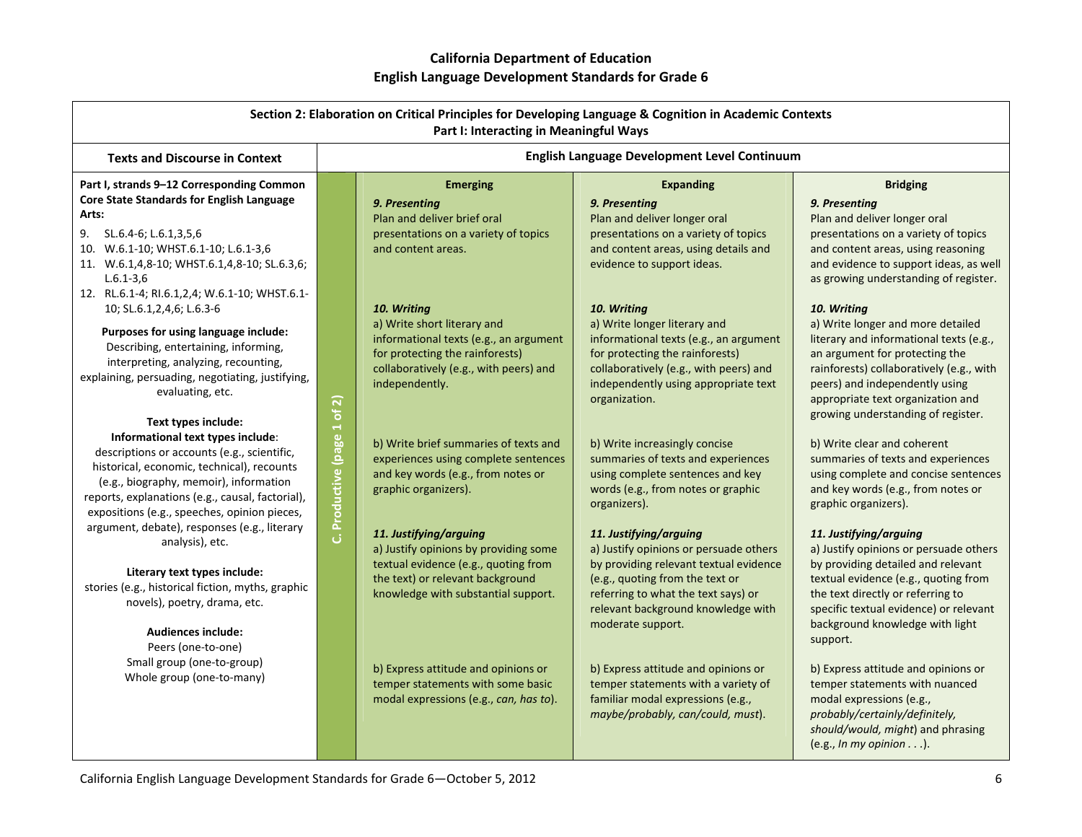| Section 2: Elaboration on Critical Principles for Developing Language & Cognition in Academic Contexts<br>Part I: Interacting in Meaningful Ways |                          |                                                                               |                                                                     |                                                                           |  |  |
|--------------------------------------------------------------------------------------------------------------------------------------------------|--------------------------|-------------------------------------------------------------------------------|---------------------------------------------------------------------|---------------------------------------------------------------------------|--|--|
| <b>Texts and Discourse in Context</b>                                                                                                            |                          | English Language Development Level Continuum                                  |                                                                     |                                                                           |  |  |
| Part I, strands 9-12 Corresponding Common                                                                                                        |                          | <b>Emerging</b>                                                               | <b>Expanding</b>                                                    | <b>Bridging</b>                                                           |  |  |
| Core State Standards for English Language                                                                                                        |                          | 9. Presenting                                                                 | 9. Presenting                                                       | 9. Presenting                                                             |  |  |
| Arts:                                                                                                                                            |                          | Plan and deliver brief oral                                                   | Plan and deliver longer oral                                        | Plan and deliver longer oral                                              |  |  |
| 9.<br>SL.6.4-6; L.6.1,3,5,6                                                                                                                      |                          | presentations on a variety of topics                                          | presentations on a variety of topics                                | presentations on a variety of topics                                      |  |  |
| W.6.1-10; WHST.6.1-10; L.6.1-3,6<br>10.                                                                                                          |                          | and content areas.                                                            | and content areas, using details and                                | and content areas, using reasoning                                        |  |  |
| 11. W.6.1,4,8-10; WHST.6.1,4,8-10; SL.6.3,6;                                                                                                     |                          |                                                                               | evidence to support ideas.                                          | and evidence to support ideas, as well                                    |  |  |
| $L.6.1 - 3.6$<br>12. RL.6.1-4; RI.6.1,2,4; W.6.1-10; WHST.6.1-                                                                                   |                          |                                                                               |                                                                     | as growing understanding of register.                                     |  |  |
| 10; SL.6.1,2,4,6; L.6.3-6                                                                                                                        |                          | 10. Writing                                                                   | 10. Writing                                                         | 10. Writing                                                               |  |  |
|                                                                                                                                                  |                          | a) Write short literary and                                                   | a) Write longer literary and                                        | a) Write longer and more detailed                                         |  |  |
| Purposes for using language include:                                                                                                             |                          | informational texts (e.g., an argument                                        | informational texts (e.g., an argument                              | literary and informational texts (e.g.,                                   |  |  |
| Describing, entertaining, informing,                                                                                                             |                          | for protecting the rainforests)                                               | for protecting the rainforests)                                     | an argument for protecting the                                            |  |  |
| interpreting, analyzing, recounting,                                                                                                             |                          | collaboratively (e.g., with peers) and                                        | collaboratively (e.g., with peers) and                              | rainforests) collaboratively (e.g., with                                  |  |  |
| explaining, persuading, negotiating, justifying,<br>evaluating, etc.                                                                             |                          | independently.                                                                | independently using appropriate text                                | peers) and independently using                                            |  |  |
|                                                                                                                                                  |                          |                                                                               | organization.                                                       | appropriate text organization and                                         |  |  |
| Text types include:                                                                                                                              |                          |                                                                               |                                                                     | growing understanding of register.                                        |  |  |
| Informational text types include:                                                                                                                | Productive (page 1 of 2) |                                                                               |                                                                     |                                                                           |  |  |
| descriptions or accounts (e.g., scientific,                                                                                                      |                          | b) Write brief summaries of texts and<br>experiences using complete sentences | b) Write increasingly concise<br>summaries of texts and experiences | b) Write clear and coherent<br>summaries of texts and experiences         |  |  |
| historical, economic, technical), recounts                                                                                                       |                          | and key words (e.g., from notes or                                            | using complete sentences and key                                    | using complete and concise sentences                                      |  |  |
| (e.g., biography, memoir), information                                                                                                           |                          | graphic organizers).                                                          | words (e.g., from notes or graphic                                  | and key words (e.g., from notes or                                        |  |  |
| reports, explanations (e.g., causal, factorial),                                                                                                 |                          |                                                                               | organizers).                                                        | graphic organizers).                                                      |  |  |
| expositions (e.g., speeches, opinion pieces,                                                                                                     |                          |                                                                               |                                                                     |                                                                           |  |  |
| argument, debate), responses (e.g., literary                                                                                                     |                          | 11. Justifying/arguing                                                        | 11. Justifying/arguing                                              | 11. Justifying/arguing                                                    |  |  |
| analysis), etc.                                                                                                                                  |                          | a) Justify opinions by providing some                                         | a) Justify opinions or persuade others                              | a) Justify opinions or persuade others                                    |  |  |
| Literary text types include:                                                                                                                     |                          | textual evidence (e.g., quoting from                                          | by providing relevant textual evidence                              | by providing detailed and relevant                                        |  |  |
| stories (e.g., historical fiction, myths, graphic                                                                                                |                          | the text) or relevant background                                              | (e.g., quoting from the text or                                     | textual evidence (e.g., quoting from                                      |  |  |
| novels), poetry, drama, etc.                                                                                                                     |                          | knowledge with substantial support.                                           | referring to what the text says) or                                 | the text directly or referring to                                         |  |  |
|                                                                                                                                                  |                          |                                                                               | relevant background knowledge with<br>moderate support.             | specific textual evidence) or relevant<br>background knowledge with light |  |  |
| <b>Audiences include:</b>                                                                                                                        |                          |                                                                               |                                                                     | support.                                                                  |  |  |
| Peers (one-to-one)                                                                                                                               |                          |                                                                               |                                                                     |                                                                           |  |  |
| Small group (one-to-group)                                                                                                                       |                          | b) Express attitude and opinions or                                           | b) Express attitude and opinions or                                 | b) Express attitude and opinions or                                       |  |  |
| Whole group (one-to-many)                                                                                                                        |                          | temper statements with some basic                                             | temper statements with a variety of                                 | temper statements with nuanced                                            |  |  |
|                                                                                                                                                  |                          | modal expressions (e.g., can, has to).                                        | familiar modal expressions (e.g.,                                   | modal expressions (e.g.,                                                  |  |  |
|                                                                                                                                                  |                          |                                                                               | maybe/probably, can/could, must).                                   | probably/certainly/definitely,                                            |  |  |
|                                                                                                                                                  |                          |                                                                               |                                                                     | should/would, might) and phrasing                                         |  |  |
|                                                                                                                                                  |                          |                                                                               |                                                                     | (e.g., In my opinion).                                                    |  |  |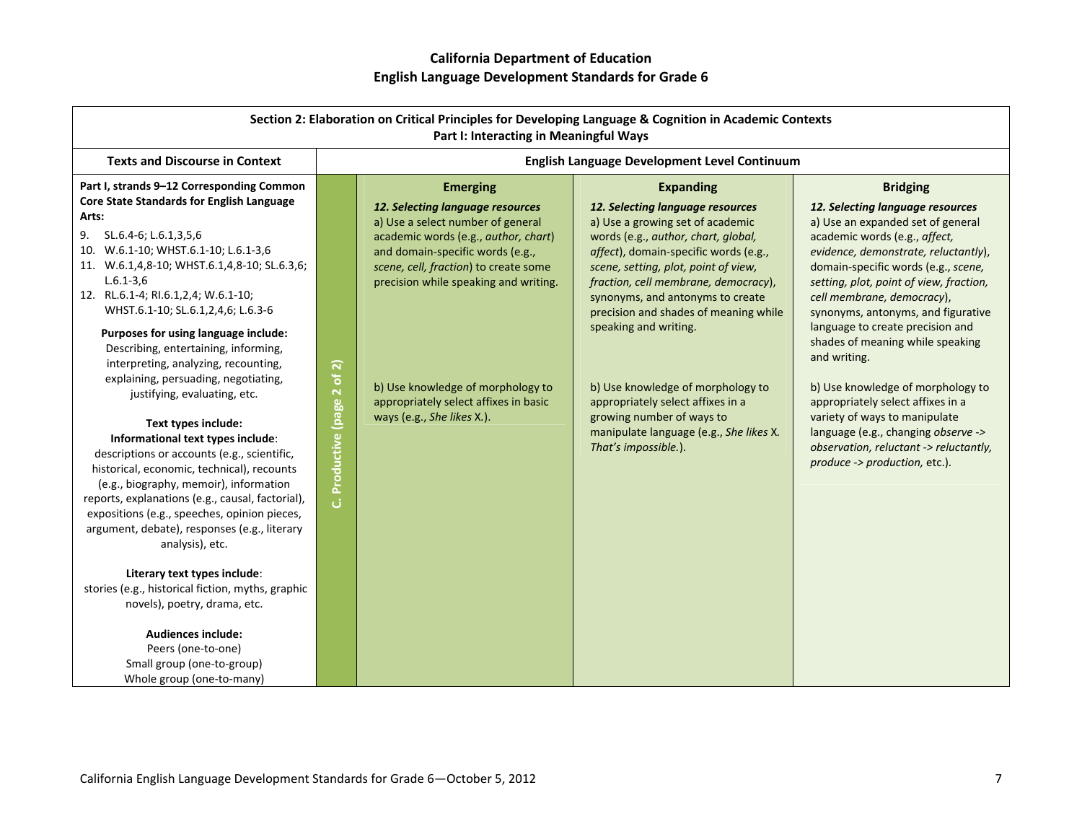|                                                                                                                                                                                                                                                                                                                                                                                                                                                                                                                                                                        |                                | Part I: Interacting in Meaningful Ways                                                                                                                                                                                                                 | Section 2: Elaboration on Critical Principles for Developing Language & Cognition in Academic Contexts                                                                                                                                                                                                                                |                                                                                                                                                                                                                                                                                                                         |
|------------------------------------------------------------------------------------------------------------------------------------------------------------------------------------------------------------------------------------------------------------------------------------------------------------------------------------------------------------------------------------------------------------------------------------------------------------------------------------------------------------------------------------------------------------------------|--------------------------------|--------------------------------------------------------------------------------------------------------------------------------------------------------------------------------------------------------------------------------------------------------|---------------------------------------------------------------------------------------------------------------------------------------------------------------------------------------------------------------------------------------------------------------------------------------------------------------------------------------|-------------------------------------------------------------------------------------------------------------------------------------------------------------------------------------------------------------------------------------------------------------------------------------------------------------------------|
| <b>Texts and Discourse in Context</b>                                                                                                                                                                                                                                                                                                                                                                                                                                                                                                                                  |                                |                                                                                                                                                                                                                                                        | English Language Development Level Continuum                                                                                                                                                                                                                                                                                          |                                                                                                                                                                                                                                                                                                                         |
| Part I, strands 9-12 Corresponding Common<br>Core State Standards for English Language<br>Arts:<br>SL.6.4-6; L.6.1,3,5,6<br>9.<br>W.6.1-10; WHST.6.1-10; L.6.1-3,6<br>10.<br>11. W.6.1,4,8-10; WHST.6.1,4,8-10; SL.6.3,6;<br>$L.6.1 - 3.6$<br>12. RL.6.1-4; RI.6.1,2,4; W.6.1-10;<br>WHST.6.1-10; SL.6.1,2,4,6; L.6.3-6                                                                                                                                                                                                                                                |                                | <b>Emerging</b><br>12. Selecting language resources<br>a) Use a select number of general<br>academic words (e.g., author, chart)<br>and domain-specific words (e.g.,<br>scene, cell, fraction) to create some<br>precision while speaking and writing. | <b>Expanding</b><br>12. Selecting language resources<br>a) Use a growing set of academic<br>words (e.g., author, chart, global,<br>affect), domain-specific words (e.g.,<br>scene, setting, plot, point of view,<br>fraction, cell membrane, democracy),<br>synonyms, and antonyms to create<br>precision and shades of meaning while | <b>Bridging</b><br>12. Selecting language resources<br>a) Use an expanded set of general<br>academic words (e.g., affect,<br>evidence, demonstrate, reluctantly),<br>domain-specific words (e.g., scene,<br>setting, plot, point of view, fraction,<br>cell membrane, democracy),<br>synonyms, antonyms, and figurative |
| Purposes for using language include:<br>Describing, entertaining, informing,<br>interpreting, analyzing, recounting,<br>explaining, persuading, negotiating,<br>justifying, evaluating, etc.<br>Text types include:<br>Informational text types include:<br>descriptions or accounts (e.g., scientific,<br>historical, economic, technical), recounts<br>(e.g., biography, memoir), information<br>reports, explanations (e.g., causal, factorial),<br>expositions (e.g., speeches, opinion pieces,<br>argument, debate), responses (e.g., literary<br>analysis), etc. | Productive (page 2 of 2)<br>ان | b) Use knowledge of morphology to<br>appropriately select affixes in basic<br>ways (e.g., She likes X.).                                                                                                                                               | speaking and writing.<br>b) Use knowledge of morphology to<br>appropriately select affixes in a<br>growing number of ways to<br>manipulate language (e.g., She likes X.<br>That's impossible.).                                                                                                                                       | language to create precision and<br>shades of meaning while speaking<br>and writing.<br>b) Use knowledge of morphology to<br>appropriately select affixes in a<br>variety of ways to manipulate<br>language (e.g., changing observe -><br>observation, reluctant -> reluctantly,<br>produce -> production, etc.).       |
| Literary text types include:<br>stories (e.g., historical fiction, myths, graphic<br>novels), poetry, drama, etc.<br><b>Audiences include:</b><br>Peers (one-to-one)<br>Small group (one-to-group)<br>Whole group (one-to-many)                                                                                                                                                                                                                                                                                                                                        |                                |                                                                                                                                                                                                                                                        |                                                                                                                                                                                                                                                                                                                                       |                                                                                                                                                                                                                                                                                                                         |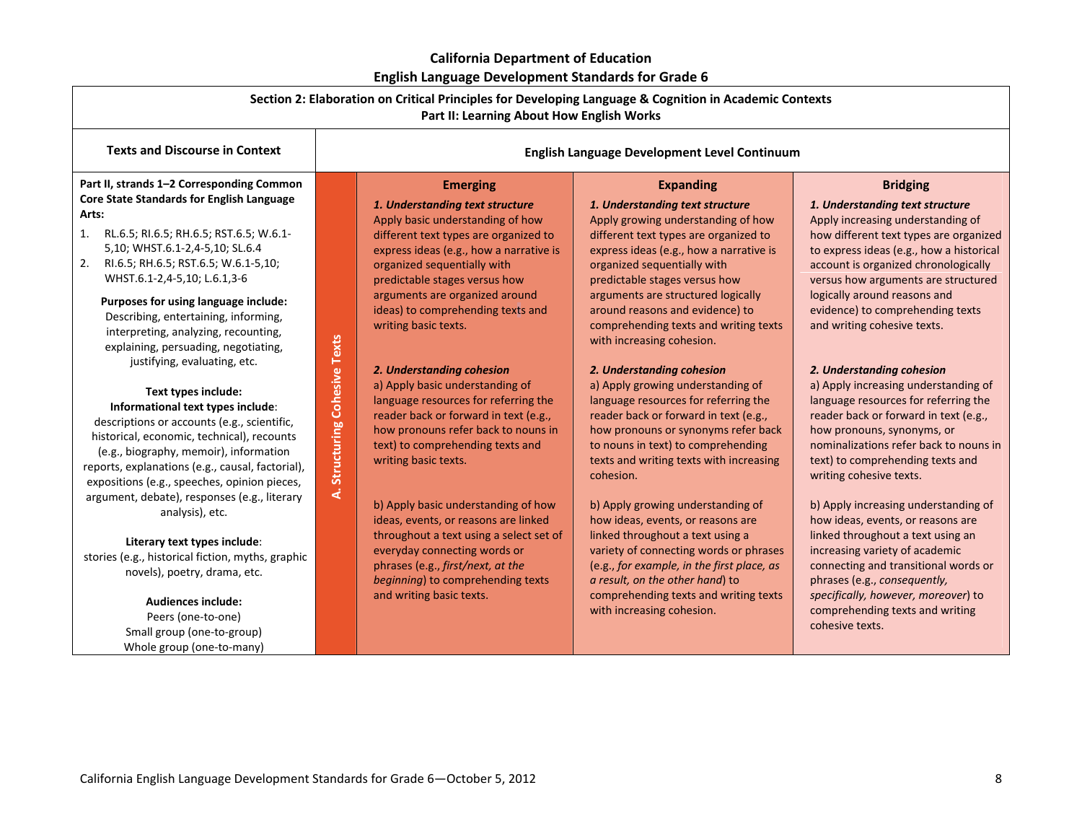| Section 2: Elaboration on Critical Principles for Developing Language & Cognition in Academic Contexts<br>Part II: Learning About How English Works                                                                                                                                                                                                                                                                                                                                                                                                                                                                                                                                                                                                                                                                                                                                                                                                                                                                                                                            |                                        |                                                                                                                                                                                                                                                                                                                                                                                                                                                                                                                                                                                                                                                                                                                                                                                                                                                               |                                                                                                                                                                                                                                                                                                                                                                                                                                                                                                                                                                                                                                                                                                                                                                                                                                                                                                                                                                                                     |                                                                                                                                                                                                                                                                                                                                                                                                                                                                                                                                                                                                                                                                                                                                                                                                                                                                                                                                                                                       |
|--------------------------------------------------------------------------------------------------------------------------------------------------------------------------------------------------------------------------------------------------------------------------------------------------------------------------------------------------------------------------------------------------------------------------------------------------------------------------------------------------------------------------------------------------------------------------------------------------------------------------------------------------------------------------------------------------------------------------------------------------------------------------------------------------------------------------------------------------------------------------------------------------------------------------------------------------------------------------------------------------------------------------------------------------------------------------------|----------------------------------------|---------------------------------------------------------------------------------------------------------------------------------------------------------------------------------------------------------------------------------------------------------------------------------------------------------------------------------------------------------------------------------------------------------------------------------------------------------------------------------------------------------------------------------------------------------------------------------------------------------------------------------------------------------------------------------------------------------------------------------------------------------------------------------------------------------------------------------------------------------------|-----------------------------------------------------------------------------------------------------------------------------------------------------------------------------------------------------------------------------------------------------------------------------------------------------------------------------------------------------------------------------------------------------------------------------------------------------------------------------------------------------------------------------------------------------------------------------------------------------------------------------------------------------------------------------------------------------------------------------------------------------------------------------------------------------------------------------------------------------------------------------------------------------------------------------------------------------------------------------------------------------|---------------------------------------------------------------------------------------------------------------------------------------------------------------------------------------------------------------------------------------------------------------------------------------------------------------------------------------------------------------------------------------------------------------------------------------------------------------------------------------------------------------------------------------------------------------------------------------------------------------------------------------------------------------------------------------------------------------------------------------------------------------------------------------------------------------------------------------------------------------------------------------------------------------------------------------------------------------------------------------|
| <b>Texts and Discourse in Context</b>                                                                                                                                                                                                                                                                                                                                                                                                                                                                                                                                                                                                                                                                                                                                                                                                                                                                                                                                                                                                                                          |                                        |                                                                                                                                                                                                                                                                                                                                                                                                                                                                                                                                                                                                                                                                                                                                                                                                                                                               | English Language Development Level Continuum                                                                                                                                                                                                                                                                                                                                                                                                                                                                                                                                                                                                                                                                                                                                                                                                                                                                                                                                                        |                                                                                                                                                                                                                                                                                                                                                                                                                                                                                                                                                                                                                                                                                                                                                                                                                                                                                                                                                                                       |
| Part II, strands 1-2 Corresponding Common<br>Core State Standards for English Language<br>Arts:<br>1.<br>RL.6.5; RI.6.5; RH.6.5; RST.6.5; W.6.1-<br>5,10; WHST.6.1-2,4-5,10; SL.6.4<br>2.<br>RI.6.5; RH.6.5; RST.6.5; W.6.1-5,10;<br>WHST.6.1-2,4-5,10; L.6.1,3-6<br>Purposes for using language include:<br>Describing, entertaining, informing,<br>interpreting, analyzing, recounting,<br>explaining, persuading, negotiating,<br>justifying, evaluating, etc.<br>Text types include:<br>Informational text types include:<br>descriptions or accounts (e.g., scientific,<br>historical, economic, technical), recounts<br>(e.g., biography, memoir), information<br>reports, explanations (e.g., causal, factorial),<br>expositions (e.g., speeches, opinion pieces,<br>argument, debate), responses (e.g., literary<br>analysis), etc.<br>Literary text types include:<br>stories (e.g., historical fiction, myths, graphic<br>novels), poetry, drama, etc.<br><b>Audiences include:</b><br>Peers (one-to-one)<br>Small group (one-to-group)<br>Whole group (one-to-many) | <b>Structuring Cohesive Texts</b><br>4 | <b>Emerging</b><br>1. Understanding text structure<br>Apply basic understanding of how<br>different text types are organized to<br>express ideas (e.g., how a narrative is<br>organized sequentially with<br>predictable stages versus how<br>arguments are organized around<br>ideas) to comprehending texts and<br>writing basic texts.<br>2. Understanding cohesion<br>a) Apply basic understanding of<br>language resources for referring the<br>reader back or forward in text (e.g.,<br>how pronouns refer back to nouns in<br>text) to comprehending texts and<br>writing basic texts.<br>b) Apply basic understanding of how<br>ideas, events, or reasons are linked<br>throughout a text using a select set of<br>everyday connecting words or<br>phrases (e.g., first/next, at the<br>beginning) to comprehending texts<br>and writing basic texts. | <b>Expanding</b><br>1. Understanding text structure<br>Apply growing understanding of how<br>different text types are organized to<br>express ideas (e.g., how a narrative is<br>organized sequentially with<br>predictable stages versus how<br>arguments are structured logically<br>around reasons and evidence) to<br>comprehending texts and writing texts<br>with increasing cohesion.<br>2. Understanding cohesion<br>a) Apply growing understanding of<br>language resources for referring the<br>reader back or forward in text (e.g.,<br>how pronouns or synonyms refer back<br>to nouns in text) to comprehending<br>texts and writing texts with increasing<br>cohesion.<br>b) Apply growing understanding of<br>how ideas, events, or reasons are<br>linked throughout a text using a<br>variety of connecting words or phrases<br>(e.g., for example, in the first place, as<br>a result, on the other hand) to<br>comprehending texts and writing texts<br>with increasing cohesion. | <b>Bridging</b><br>1. Understanding text structure<br>Apply increasing understanding of<br>how different text types are organized<br>to express ideas (e.g., how a historical<br>account is organized chronologically<br>versus how arguments are structured<br>logically around reasons and<br>evidence) to comprehending texts<br>and writing cohesive texts.<br>2. Understanding cohesion<br>a) Apply increasing understanding of<br>language resources for referring the<br>reader back or forward in text (e.g.,<br>how pronouns, synonyms, or<br>nominalizations refer back to nouns in<br>text) to comprehending texts and<br>writing cohesive texts.<br>b) Apply increasing understanding of<br>how ideas, events, or reasons are<br>linked throughout a text using an<br>increasing variety of academic<br>connecting and transitional words or<br>phrases (e.g., consequently,<br>specifically, however, moreover) to<br>comprehending texts and writing<br>cohesive texts. |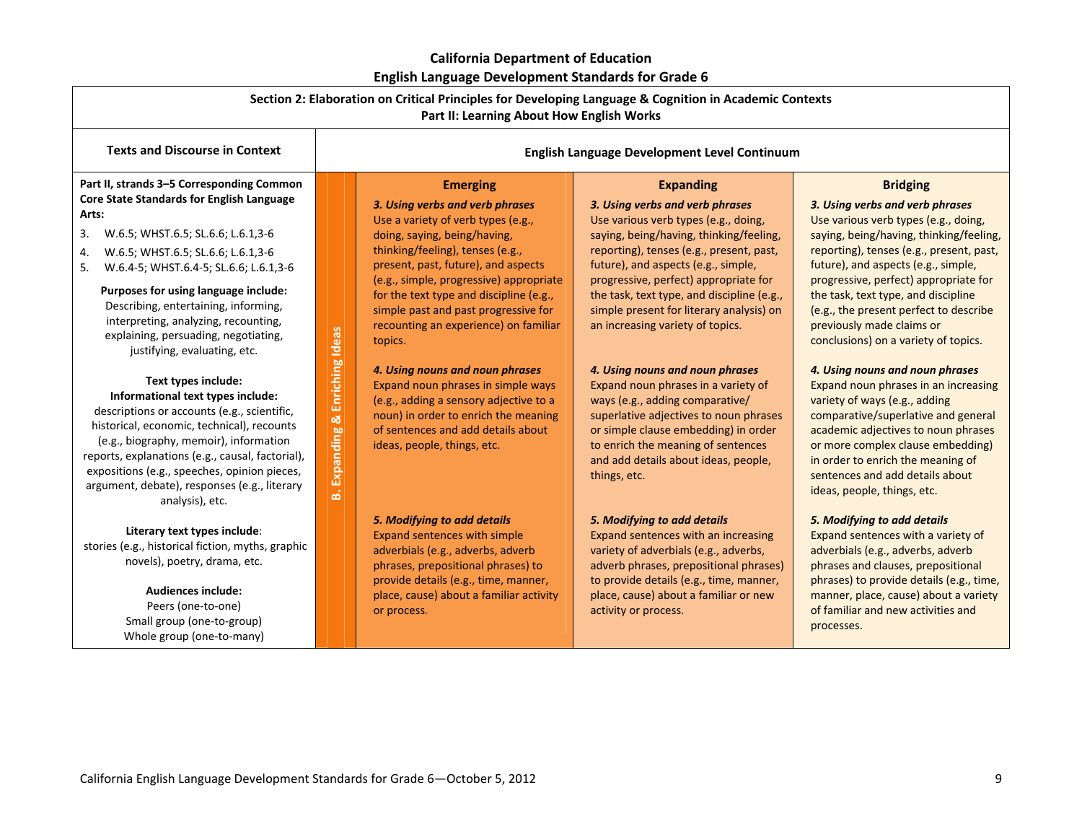| Section 2: Elaboration on Critical Principles for Developing Language & Cognition in Academic Contexts<br>Part II: Learning About How English Works                                                                                                                                                                                                                                                     |                                                |                                                                                                                                                                                                                                                                                                                                                                                       |                                                                                                                                                                                                                                                                                                                                                                                                  |                                                                                                                                                                                                                                                                                                                                                                                                                         |
|---------------------------------------------------------------------------------------------------------------------------------------------------------------------------------------------------------------------------------------------------------------------------------------------------------------------------------------------------------------------------------------------------------|------------------------------------------------|---------------------------------------------------------------------------------------------------------------------------------------------------------------------------------------------------------------------------------------------------------------------------------------------------------------------------------------------------------------------------------------|--------------------------------------------------------------------------------------------------------------------------------------------------------------------------------------------------------------------------------------------------------------------------------------------------------------------------------------------------------------------------------------------------|-------------------------------------------------------------------------------------------------------------------------------------------------------------------------------------------------------------------------------------------------------------------------------------------------------------------------------------------------------------------------------------------------------------------------|
| <b>Texts and Discourse in Context</b>                                                                                                                                                                                                                                                                                                                                                                   |                                                |                                                                                                                                                                                                                                                                                                                                                                                       | English Language Development Level Continuum                                                                                                                                                                                                                                                                                                                                                     |                                                                                                                                                                                                                                                                                                                                                                                                                         |
| Part II, strands 3-5 Corresponding Common<br>Core State Standards for English Language<br>Arts:<br>3.<br>W.6.5; WHST.6.5; SL.6.6; L.6.1,3-6<br>W.6.5; WHST.6.5; SL.6.6; L.6.1,3-6<br>4.<br>5.<br>W.6.4-5; WHST.6.4-5; SL.6.6; L.6.1,3-6<br>Purposes for using language include:<br>Describing, entertaining, informing,<br>interpreting, analyzing, recounting,<br>explaining, persuading, negotiating, |                                                | <b>Emerging</b><br>3. Using verbs and verb phrases<br>Use a variety of verb types (e.g.,<br>doing, saying, being/having,<br>thinking/feeling), tenses (e.g.,<br>present, past, future), and aspects<br>(e.g., simple, progressive) appropriate<br>for the text type and discipline (e.g.,<br>simple past and past progressive for<br>recounting an experience) on familiar<br>topics. | <b>Expanding</b><br>3. Using verbs and verb phrases<br>Use various verb types (e.g., doing,<br>saying, being/having, thinking/feeling,<br>reporting), tenses (e.g., present, past,<br>future), and aspects (e.g., simple,<br>progressive, perfect) appropriate for<br>the task, text type, and discipline (e.g.,<br>simple present for literary analysis) on<br>an increasing variety of topics. | <b>Bridging</b><br>3. Using verbs and verb phrases<br>Use various verb types (e.g., doing,<br>saying, being/having, thinking/feeling,<br>reporting), tenses (e.g., present, past,<br>future), and aspects (e.g., simple,<br>progressive, perfect) appropriate for<br>the task, text type, and discipline<br>(e.g., the present perfect to describe<br>previously made claims or<br>conclusions) on a variety of topics. |
| justifying, evaluating, etc.<br>Text types include:<br>Informational text types include:<br>descriptions or accounts (e.g., scientific,<br>historical, economic, technical), recounts<br>(e.g., biography, memoir), information<br>reports, explanations (e.g., causal, factorial),<br>expositions (e.g., speeches, opinion pieces,<br>argument, debate), responses (e.g., literary<br>analysis), etc.  | Enriching Ideas<br>ಠ<br><b>Expanding</b><br>ക് | 4. Using nouns and noun phrases<br>Expand noun phrases in simple ways<br>(e.g., adding a sensory adjective to a<br>noun) in order to enrich the meaning<br>of sentences and add details about<br>ideas, people, things, etc.                                                                                                                                                          | 4. Using nouns and noun phrases<br>Expand noun phrases in a variety of<br>ways (e.g., adding comparative/<br>superlative adjectives to noun phrases<br>or simple clause embedding) in order<br>to enrich the meaning of sentences<br>and add details about ideas, people,<br>things, etc.                                                                                                        | 4. Using nouns and noun phrases<br>Expand noun phrases in an increasing<br>variety of ways (e.g., adding<br>comparative/superlative and general<br>academic adjectives to noun phrases<br>or more complex clause embedding)<br>in order to enrich the meaning of<br>sentences and add details about<br>ideas, people, things, etc.                                                                                      |
| Literary text types include:<br>stories (e.g., historical fiction, myths, graphic<br>novels), poetry, drama, etc.<br><b>Audiences include:</b><br>Peers (one-to-one)<br>Small group (one-to-group)<br>Whole group (one-to-many)                                                                                                                                                                         |                                                | 5. Modifying to add details<br><b>Expand sentences with simple</b><br>adverbials (e.g., adverbs, adverb<br>phrases, prepositional phrases) to<br>provide details (e.g., time, manner,<br>place, cause) about a familiar activity<br>or process.                                                                                                                                       | 5. Modifying to add details<br>Expand sentences with an increasing<br>variety of adverbials (e.g., adverbs,<br>adverb phrases, prepositional phrases)<br>to provide details (e.g., time, manner,<br>place, cause) about a familiar or new<br>activity or process.                                                                                                                                | 5. Modifying to add details<br>Expand sentences with a variety of<br>adverbials (e.g., adverbs, adverb<br>phrases and clauses, prepositional<br>phrases) to provide details (e.g., time,<br>manner, place, cause) about a variety<br>of familiar and new activities and<br>processes.                                                                                                                                   |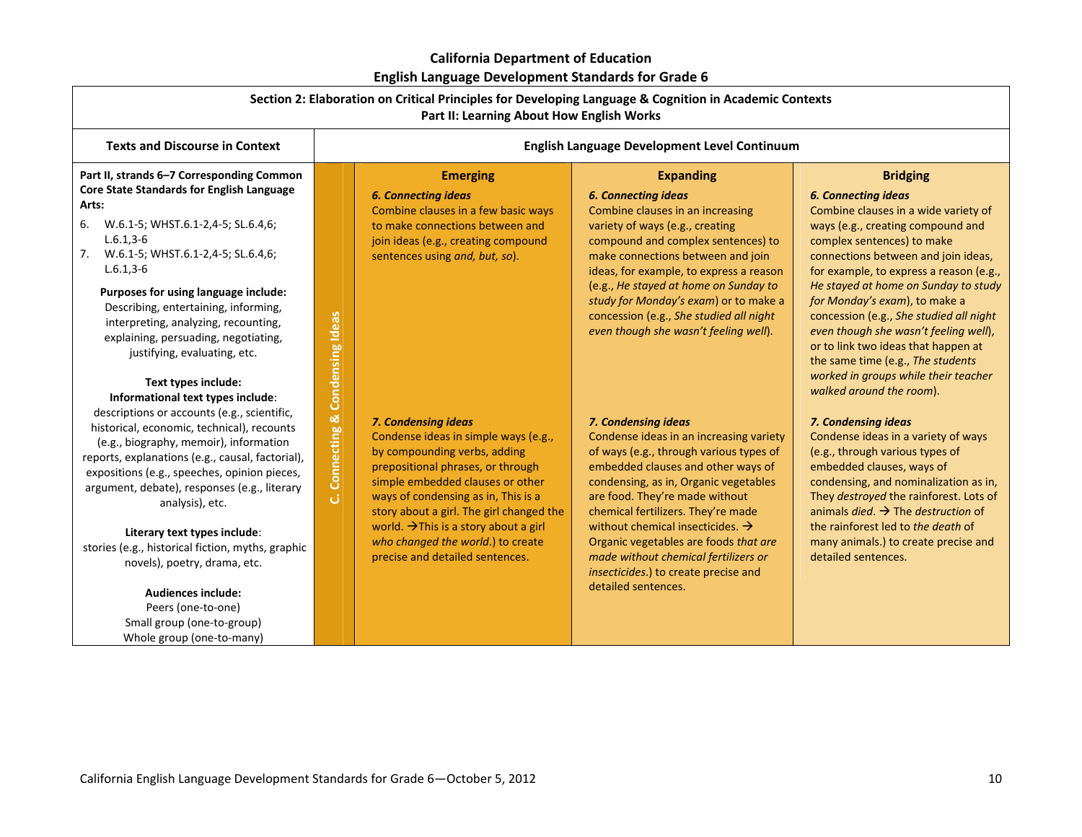| Section 2: Elaboration on Critical Principles for Developing Language & Cognition in Academic Contexts<br>Part II: Learning About How English Works                                                                                                                                                                                                                                                                                                                              |                               |                                                                                                                                                                                                                                                                                                                                                                                      |                                                                                                                                                                                                                                                                                                                                                                                                                                                                  |                                                                                                                                                                                                                                                                                                                                                                                                                                                                                                                                                         |
|----------------------------------------------------------------------------------------------------------------------------------------------------------------------------------------------------------------------------------------------------------------------------------------------------------------------------------------------------------------------------------------------------------------------------------------------------------------------------------|-------------------------------|--------------------------------------------------------------------------------------------------------------------------------------------------------------------------------------------------------------------------------------------------------------------------------------------------------------------------------------------------------------------------------------|------------------------------------------------------------------------------------------------------------------------------------------------------------------------------------------------------------------------------------------------------------------------------------------------------------------------------------------------------------------------------------------------------------------------------------------------------------------|---------------------------------------------------------------------------------------------------------------------------------------------------------------------------------------------------------------------------------------------------------------------------------------------------------------------------------------------------------------------------------------------------------------------------------------------------------------------------------------------------------------------------------------------------------|
| <b>Texts and Discourse in Context</b>                                                                                                                                                                                                                                                                                                                                                                                                                                            |                               |                                                                                                                                                                                                                                                                                                                                                                                      | English Language Development Level Continuum                                                                                                                                                                                                                                                                                                                                                                                                                     |                                                                                                                                                                                                                                                                                                                                                                                                                                                                                                                                                         |
| Part II, strands 6-7 Corresponding Common<br>Core State Standards for English Language<br>Arts:<br>W.6.1-5; WHST.6.1-2,4-5; SL.6.4,6;<br>6.<br>$L.6.1, 3-6$<br>7. W.6.1-5; WHST.6.1-2,4-5; SL.6.4,6;<br>$L.6.1, 3-6$<br>Purposes for using language include:<br>Describing, entertaining, informing,<br>interpreting, analyzing, recounting,<br>explaining, persuading, negotiating,<br>justifying, evaluating, etc.<br>Text types include:<br>Informational text types include: | Connecting & Condensing Ideas | <b>Emerging</b><br><b>6. Connecting ideas</b><br>Combine clauses in a few basic ways<br>to make connections between and<br>join ideas (e.g., creating compound<br>sentences using and, but, so).                                                                                                                                                                                     | <b>Expanding</b><br><b>6. Connecting ideas</b><br>Combine clauses in an increasing<br>variety of ways (e.g., creating<br>compound and complex sentences) to<br>make connections between and join<br>ideas, for example, to express a reason<br>(e.g., He stayed at home on Sunday to<br>study for Monday's exam) or to make a<br>concession (e.g., She studied all night<br>even though she wasn't feeling well).                                                | <b>Bridging</b><br><b>6. Connecting ideas</b><br>Combine clauses in a wide variety of<br>ways (e.g., creating compound and<br>complex sentences) to make<br>connections between and join ideas,<br>for example, to express a reason (e.g.,<br>He stayed at home on Sunday to study<br>for Monday's exam), to make a<br>concession (e.g., She studied all night<br>even though she wasn't feeling well),<br>or to link two ideas that happen at<br>the same time (e.g., The students<br>worked in groups while their teacher<br>walked around the room). |
| descriptions or accounts (e.g., scientific,<br>historical, economic, technical), recounts<br>(e.g., biography, memoir), information<br>reports, explanations (e.g., causal, factorial),<br>expositions (e.g., speeches, opinion pieces,<br>argument, debate), responses (e.g., literary<br>analysis), etc.<br>Literary text types include:<br>stories (e.g., historical fiction, myths, graphic<br>novels), poetry, drama, etc.<br>Audiences include:                            | ان                            | 7. Condensing ideas<br>Condense ideas in simple ways (e.g.,<br>by compounding verbs, adding<br>prepositional phrases, or through<br>simple embedded clauses or other<br>ways of condensing as in, This is a<br>story about a girl. The girl changed the<br>world. $\rightarrow$ This is a story about a girl<br>who changed the world.) to create<br>precise and detailed sentences. | 7. Condensing ideas<br>Condense ideas in an increasing variety<br>of ways (e.g., through various types of<br>embedded clauses and other ways of<br>condensing, as in, Organic vegetables<br>are food. They're made without<br>chemical fertilizers. They're made<br>without chemical insecticides. $\rightarrow$<br>Organic vegetables are foods that are<br>made without chemical fertilizers or<br>insecticides.) to create precise and<br>detailed sentences. | 7. Condensing ideas<br>Condense ideas in a variety of ways<br>(e.g., through various types of<br>embedded clauses, ways of<br>condensing, and nominalization as in,<br>They destroyed the rainforest. Lots of<br>animals <i>died</i> . $\rightarrow$ The <i>destruction</i> of<br>the rainforest led to the death of<br>many animals.) to create precise and<br>detailed sentences.                                                                                                                                                                     |
| Peers (one-to-one)<br>Small group (one-to-group)<br>Whole group (one-to-many)                                                                                                                                                                                                                                                                                                                                                                                                    |                               |                                                                                                                                                                                                                                                                                                                                                                                      |                                                                                                                                                                                                                                                                                                                                                                                                                                                                  |                                                                                                                                                                                                                                                                                                                                                                                                                                                                                                                                                         |